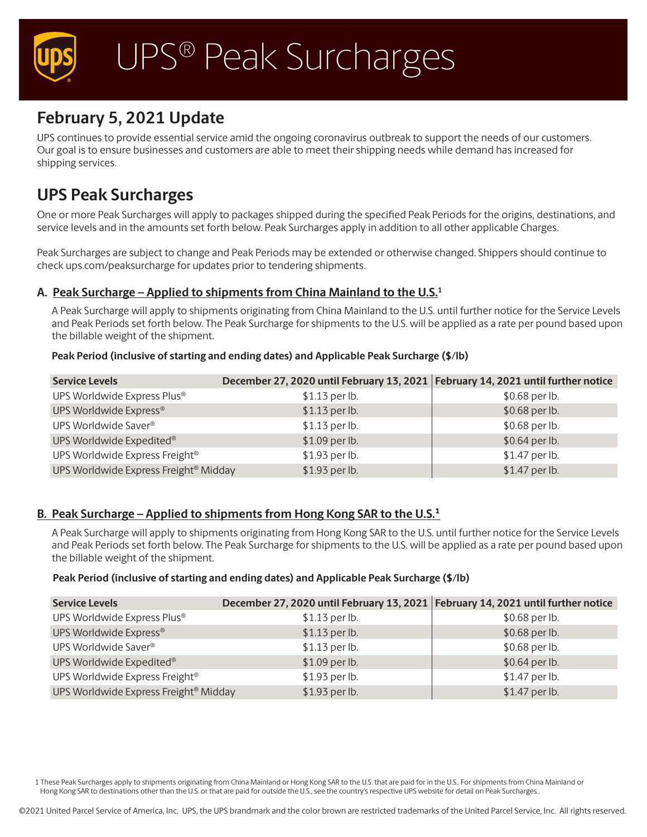

# **February 5, 2021 Update**

UPS continues to provide essential service amid the ongoing coronavirus outbreak to support the needs of our customers. Our goal is to ensure businesses and customers are able to meet their shipping needs while demand has increased for shipping services.

# **UPS Peak Surcharges**

One or more Peak Surcharges will apply to packages shipped during the specified Peak Periods for the origins, destinations, and service levels and in the amounts set forth below. Peak Surcharges apply in addition to all other applicable Charges.

Peak Surcharges are subject to change and Peak Periods may be extended or otherwise changed. Shippers should continue to check ups.com/peaksurcharge for updates prior to tendering shipments.

## **A. Peak Surcharge – Applied to shipments from China Mainland to the U.S.1**

A Peak Surcharge will apply to shipments originating from China Mainland to the U.S. until further notice for the Service Levels and Peak Periods set forth below. The Peak Surcharge for shipments to the U.S. will be applied as a rate per pound based upon the billable weight of the shipment.

#### **Peak Period (inclusive of starting and ending dates) and Applicable Peak Surcharge (\$/lb)**

| <b>Service Levels</b>                             | December 27, 2020 until February 13, 2021 February 14, 2021 until further notice |                |
|---------------------------------------------------|----------------------------------------------------------------------------------|----------------|
| UPS Worldwide Express Plus®                       | \$1.13 per lb.                                                                   | \$0.68 per lb. |
| UPS Worldwide Express®                            | \$1.13 per lb.                                                                   | \$0.68 per lb. |
| UPS Worldwide Saver®                              | \$1.13 per lb.                                                                   | \$0.68 per lb. |
| UPS Worldwide Expedited®                          | \$1.09 per lb.                                                                   | \$0.64 per lb. |
| UPS Worldwide Express Freight®                    | \$1.93 per lb.                                                                   | \$1.47 per lb. |
| UPS Worldwide Express Freight <sup>®</sup> Midday | \$1.93 per lb.                                                                   | \$1.47 per lb. |

# **B. Peak Surcharge – Applied to shipments from Hong Kong SAR to the U.S.1**

A Peak Surcharge will apply to shipments originating from Hong Kong SAR to the U.S. until further notice for the Service Levels and Peak Periods set forth below. The Peak Surcharge for shipments to the U.S. will be applied as a rate per pound based upon the billable weight of the shipment.

#### **Peak Period (inclusive of starting and ending dates) and Applicable Peak Surcharge (\$/lb)**

| <b>Service Levels</b>                             | December 27, 2020 until February 13, 2021 February 14, 2021 until further notice |                |
|---------------------------------------------------|----------------------------------------------------------------------------------|----------------|
| UPS Worldwide Express Plus®                       | \$1.13 per lb.                                                                   | \$0.68 per lb. |
| UPS Worldwide Express®                            | $$1.13$ per lb.                                                                  | \$0.68 per lb. |
| UPS Worldwide Saver®                              | \$1.13 per lb.                                                                   | \$0.68 per lb. |
| UPS Worldwide Expedited®                          | \$1.09 per lb.                                                                   | \$0.64 per lb. |
| UPS Worldwide Express Freight®                    | \$1.93 per lb.                                                                   | \$1.47 per lb. |
| UPS Worldwide Express Freight <sup>®</sup> Midday | \$1.93 per lb.                                                                   | \$1.47 per lb. |

1 These Peak Surcharges apply to shipments originating from China Mainland or Hong Kong SAR to the U.S. that are paid for in the U.S.. For shipments from China Mainland or Hong Kong SAR to destinations other than the U.S. or that are paid for outside the U.S., see the country's respective UPS website for detail on Peak Surcharges.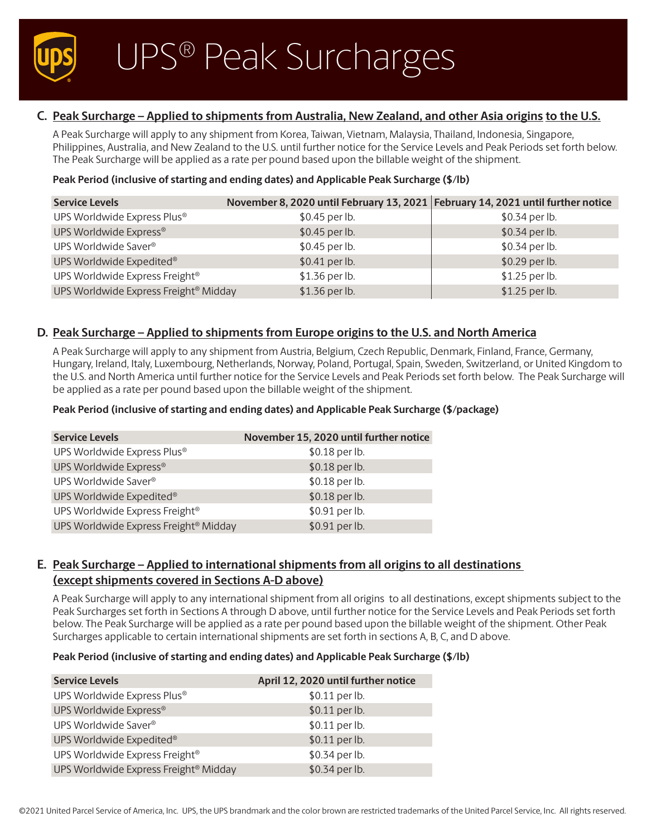

# **C. Peak Surcharge – Applied to shipments from Australia, New Zealand, and other Asia origins to the U.S.**

A Peak Surcharge will apply to any shipment from Korea, Taiwan, Vietnam, Malaysia, Thailand, Indonesia, Singapore, Philippines, Australia, and New Zealand to the U.S. until further notice for the Service Levels and Peak Periods set forth below. The Peak Surcharge will be applied as a rate per pound based upon the billable weight of the shipment.

#### **Peak Period (inclusive of starting and ending dates) and Applicable Peak Surcharge (\$/lb)**

| <b>Service Levels</b>                             | November 8, 2020 until February 13, 2021 February 14, 2021 until further notice |                |
|---------------------------------------------------|---------------------------------------------------------------------------------|----------------|
| UPS Worldwide Express Plus®                       | \$0.45 per lb.                                                                  | \$0.34 per lb. |
| UPS Worldwide Express®                            | \$0.45 per lb.                                                                  | \$0.34 per lb. |
| UPS Worldwide Saver®                              | \$0.45 per lb.                                                                  | \$0.34 per lb. |
| UPS Worldwide Expedited®                          | $$0.41$ per lb.                                                                 | \$0.29 per lb. |
| UPS Worldwide Express Freight®                    | \$1.36 per lb.                                                                  | \$1.25 per lb. |
| UPS Worldwide Express Freight <sup>®</sup> Midday | \$1.36 per lb.                                                                  | \$1.25 per lb. |

## **D. Peak Surcharge – Applied to shipments from Europe origins to the U.S. and North America**

A Peak Surcharge will apply to any shipment from Austria, Belgium, Czech Republic, Denmark, Finland, France, Germany, Hungary, Ireland, Italy, Luxembourg, Netherlands, Norway, Poland, Portugal, Spain, Sweden, Switzerland, or United Kingdom to the U.S. and North America until further notice for the Service Levels and Peak Periods set forth below. The Peak Surcharge will be applied as a rate per pound based upon the billable weight of the shipment.

#### **Peak Period (inclusive of starting and ending dates) and Applicable Peak Surcharge (\$/package)**

| <b>Service Levels</b>                             | November 15, 2020 until further notice |
|---------------------------------------------------|----------------------------------------|
| UPS Worldwide Express Plus®                       | \$0.18 per lb.                         |
| UPS Worldwide Express®                            | \$0.18 per lb.                         |
| UPS Worldwide Saver®                              | \$0.18 per lb.                         |
| UPS Worldwide Expedited®                          | \$0.18 per lb.                         |
| UPS Worldwide Express Freight <sup>®</sup>        | \$0.91 per lb.                         |
| UPS Worldwide Express Freight <sup>®</sup> Midday | \$0.91 per lb.                         |

# **E. Peak Surcharge – Applied to international shipments from all origins to all destinations (except shipments covered in Sections A-D above)**

A Peak Surcharge will apply to any international shipment from all origins to all destinations, except shipments subject to the Peak Surcharges set forth in Sections A through D above, until further notice for the Service Levels and Peak Periods set forth below. The Peak Surcharge will be applied as a rate per pound based upon the billable weight of the shipment. Other Peak Surcharges applicable to certain international shipments are set forth in sections A, B, C, and D above.

#### **Peak Period (inclusive of starting and ending dates) and Applicable Peak Surcharge (\$/lb)**

| <b>Service Levels</b>                             | April 12, 2020 until further notice |
|---------------------------------------------------|-------------------------------------|
| UPS Worldwide Express Plus®                       | \$0.11 per lb.                      |
| UPS Worldwide Express®                            | \$0.11 per lb.                      |
| UPS Worldwide Saver®                              | \$0.11 per lb.                      |
| UPS Worldwide Expedited®                          | \$0.11 per lb.                      |
| UPS Worldwide Express Freight®                    | \$0.34 per lb.                      |
| UPS Worldwide Express Freight <sup>®</sup> Midday | \$0.34 per lb.                      |